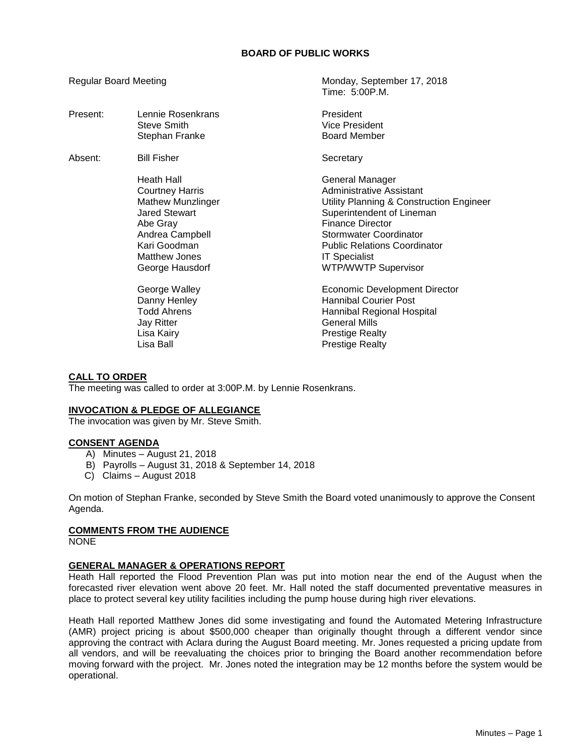# **BOARD OF PUBLIC WORKS**

Regular Board Meeting Monday, September 17, 2018

|          |                                                                                                                                                                             | Time: 5:00P.M.                                                                                                                                                                                                                                                         |
|----------|-----------------------------------------------------------------------------------------------------------------------------------------------------------------------------|------------------------------------------------------------------------------------------------------------------------------------------------------------------------------------------------------------------------------------------------------------------------|
| Present: | Lennie Rosenkrans<br>Steve Smith<br>Stephan Franke                                                                                                                          | President<br><b>Vice President</b><br><b>Board Member</b>                                                                                                                                                                                                              |
| Absent:  | <b>Bill Fisher</b>                                                                                                                                                          | Secretary                                                                                                                                                                                                                                                              |
|          | Heath Hall<br><b>Courtney Harris</b><br><b>Mathew Munzlinger</b><br>Jared Stewart<br>Abe Gray<br>Andrea Campbell<br>Kari Goodman<br><b>Matthew Jones</b><br>George Hausdorf | General Manager<br>Administrative Assistant<br>Utility Planning & Construction Engineer<br>Superintendent of Lineman<br>Finance Director<br><b>Stormwater Coordinator</b><br><b>Public Relations Coordinator</b><br><b>IT Specialist</b><br><b>WTP/WWTP Supervisor</b> |
|          | George Walley<br>Danny Henley<br>Todd Ahrens<br><b>Jay Ritter</b><br>Lisa Kairy<br>Lisa Ball                                                                                | <b>Economic Development Director</b><br><b>Hannibal Courier Post</b><br>Hannibal Regional Hospital<br><b>General Mills</b><br>Prestige Realty<br><b>Prestige Realty</b>                                                                                                |

# **CALL TO ORDER**

The meeting was called to order at 3:00P.M. by Lennie Rosenkrans.

# **INVOCATION & PLEDGE OF ALLEGIANCE**

The invocation was given by Mr. Steve Smith.

# **CONSENT AGENDA**

- A) Minutes August 21, 2018
- B) Payrolls August 31, 2018 & September 14, 2018
- C) Claims August 2018

On motion of Stephan Franke, seconded by Steve Smith the Board voted unanimously to approve the Consent Agenda.

# **COMMENTS FROM THE AUDIENCE**

NONE

# **GENERAL MANAGER & OPERATIONS REPORT**

Heath Hall reported the Flood Prevention Plan was put into motion near the end of the August when the forecasted river elevation went above 20 feet. Mr. Hall noted the staff documented preventative measures in place to protect several key utility facilities including the pump house during high river elevations.

Heath Hall reported Matthew Jones did some investigating and found the Automated Metering Infrastructure (AMR) project pricing is about \$500,000 cheaper than originally thought through a different vendor since approving the contract with Aclara during the August Board meeting. Mr. Jones requested a pricing update from all vendors, and will be reevaluating the choices prior to bringing the Board another recommendation before moving forward with the project. Mr. Jones noted the integration may be 12 months before the system would be operational.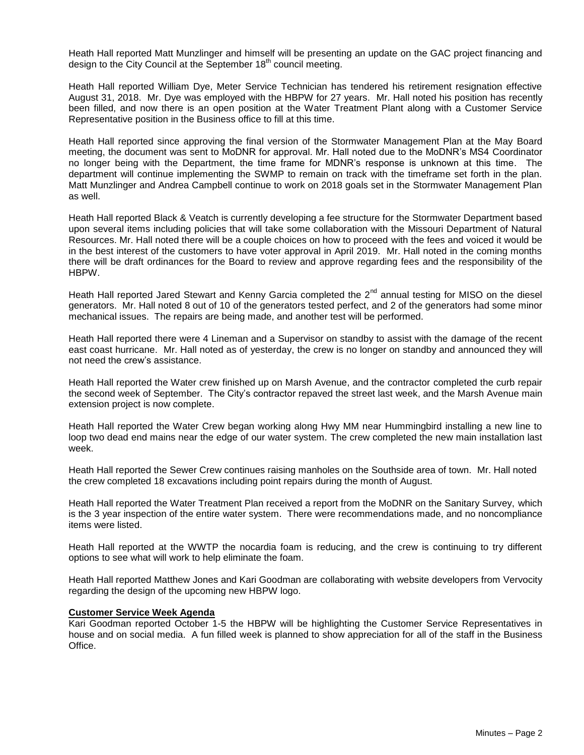Heath Hall reported Matt Munzlinger and himself will be presenting an update on the GAC project financing and design to the City Council at the September  $18<sup>th</sup>$  council meeting.

Heath Hall reported William Dye, Meter Service Technician has tendered his retirement resignation effective August 31, 2018. Mr. Dye was employed with the HBPW for 27 years. Mr. Hall noted his position has recently been filled, and now there is an open position at the Water Treatment Plant along with a Customer Service Representative position in the Business office to fill at this time.

Heath Hall reported since approving the final version of the Stormwater Management Plan at the May Board meeting, the document was sent to MoDNR for approval. Mr. Hall noted due to the MoDNR's MS4 Coordinator no longer being with the Department, the time frame for MDNR's response is unknown at this time. The department will continue implementing the SWMP to remain on track with the timeframe set forth in the plan. Matt Munzlinger and Andrea Campbell continue to work on 2018 goals set in the Stormwater Management Plan as well.

Heath Hall reported Black & Veatch is currently developing a fee structure for the Stormwater Department based upon several items including policies that will take some collaboration with the Missouri Department of Natural Resources. Mr. Hall noted there will be a couple choices on how to proceed with the fees and voiced it would be in the best interest of the customers to have voter approval in April 2019. Mr. Hall noted in the coming months there will be draft ordinances for the Board to review and approve regarding fees and the responsibility of the HBPW.

Heath Hall reported Jared Stewart and Kenny Garcia completed the 2<sup>nd</sup> annual testing for MISO on the diesel generators. Mr. Hall noted 8 out of 10 of the generators tested perfect, and 2 of the generators had some minor mechanical issues. The repairs are being made, and another test will be performed.

Heath Hall reported there were 4 Lineman and a Supervisor on standby to assist with the damage of the recent east coast hurricane. Mr. Hall noted as of yesterday, the crew is no longer on standby and announced they will not need the crew's assistance.

Heath Hall reported the Water crew finished up on Marsh Avenue, and the contractor completed the curb repair the second week of September. The City's contractor repaved the street last week, and the Marsh Avenue main extension project is now complete.

Heath Hall reported the Water Crew began working along Hwy MM near Hummingbird installing a new line to loop two dead end mains near the edge of our water system. The crew completed the new main installation last week.

Heath Hall reported the Sewer Crew continues raising manholes on the Southside area of town. Mr. Hall noted the crew completed 18 excavations including point repairs during the month of August.

Heath Hall reported the Water Treatment Plan received a report from the MoDNR on the Sanitary Survey, which is the 3 year inspection of the entire water system. There were recommendations made, and no noncompliance items were listed.

Heath Hall reported at the WWTP the nocardia foam is reducing, and the crew is continuing to try different options to see what will work to help eliminate the foam.

Heath Hall reported Matthew Jones and Kari Goodman are collaborating with website developers from Vervocity regarding the design of the upcoming new HBPW logo.

# **Customer Service Week Agenda**

Kari Goodman reported October 1-5 the HBPW will be highlighting the Customer Service Representatives in house and on social media. A fun filled week is planned to show appreciation for all of the staff in the Business Office.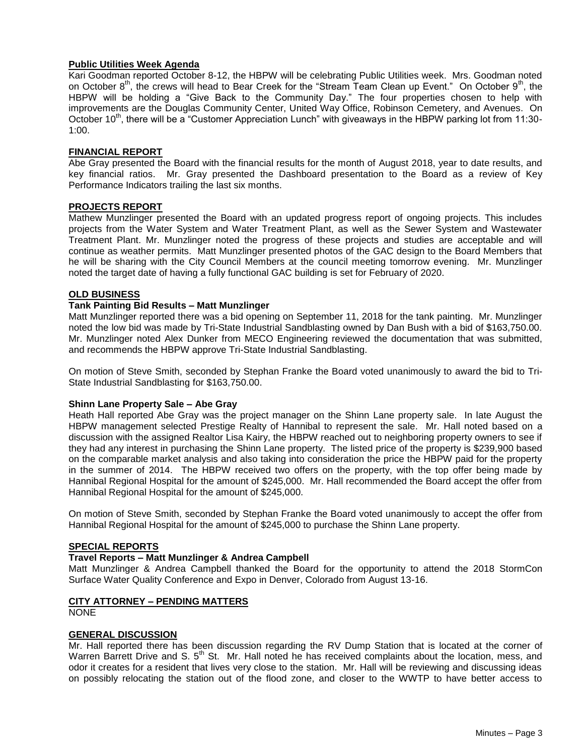# **Public Utilities Week Agenda**

Kari Goodman reported October 8-12, the HBPW will be celebrating Public Utilities week. Mrs. Goodman noted on October  $8<sup>th</sup>$ , the crews will head to Bear Creek for the "Stream Team Clean up Event." On October  $9<sup>th</sup>$ , the HBPW will be holding a "Give Back to the Community Day." The four properties chosen to help with improvements are the Douglas Community Center, United Way Office, Robinson Cemetery, and Avenues. On October 10<sup>th</sup>, there will be a "Customer Appreciation Lunch" with giveaways in the HBPW parking lot from 11:30-1:00.

# **FINANCIAL REPORT**

Abe Gray presented the Board with the financial results for the month of August 2018, year to date results, and key financial ratios. Mr. Gray presented the Dashboard presentation to the Board as a review of Key Performance Indicators trailing the last six months.

#### **PROJECTS REPORT**

Mathew Munzlinger presented the Board with an updated progress report of ongoing projects. This includes projects from the Water System and Water Treatment Plant, as well as the Sewer System and Wastewater Treatment Plant. Mr. Munzlinger noted the progress of these projects and studies are acceptable and will continue as weather permits. Matt Munzlinger presented photos of the GAC design to the Board Members that he will be sharing with the City Council Members at the council meeting tomorrow evening. Mr. Munzlinger noted the target date of having a fully functional GAC building is set for February of 2020.

#### **OLD BUSINESS**

# **Tank Painting Bid Results – Matt Munzlinger**

Matt Munzlinger reported there was a bid opening on September 11, 2018 for the tank painting. Mr. Munzlinger noted the low bid was made by Tri-State Industrial Sandblasting owned by Dan Bush with a bid of \$163,750.00. Mr. Munzlinger noted Alex Dunker from MECO Engineering reviewed the documentation that was submitted, and recommends the HBPW approve Tri-State Industrial Sandblasting.

On motion of Steve Smith, seconded by Stephan Franke the Board voted unanimously to award the bid to Tri-State Industrial Sandblasting for \$163,750.00.

# **Shinn Lane Property Sale – Abe Gray**

Heath Hall reported Abe Gray was the project manager on the Shinn Lane property sale. In late August the HBPW management selected Prestige Realty of Hannibal to represent the sale. Mr. Hall noted based on a discussion with the assigned Realtor Lisa Kairy, the HBPW reached out to neighboring property owners to see if they had any interest in purchasing the Shinn Lane property. The listed price of the property is \$239,900 based on the comparable market analysis and also taking into consideration the price the HBPW paid for the property in the summer of 2014. The HBPW received two offers on the property, with the top offer being made by Hannibal Regional Hospital for the amount of \$245,000. Mr. Hall recommended the Board accept the offer from Hannibal Regional Hospital for the amount of \$245,000.

On motion of Steve Smith, seconded by Stephan Franke the Board voted unanimously to accept the offer from Hannibal Regional Hospital for the amount of \$245,000 to purchase the Shinn Lane property.

#### **SPECIAL REPORTS**

# **Travel Reports – Matt Munzlinger & Andrea Campbell**

Matt Munzlinger & Andrea Campbell thanked the Board for the opportunity to attend the 2018 StormCon Surface Water Quality Conference and Expo in Denver, Colorado from August 13-16.

# **CITY ATTORNEY – PENDING MATTERS**

NONE

# **GENERAL DISCUSSION**

Mr. Hall reported there has been discussion regarding the RV Dump Station that is located at the corner of Warren Barrett Drive and S. 5<sup>th</sup> St. Mr. Hall noted he has received complaints about the location, mess, and odor it creates for a resident that lives very close to the station. Mr. Hall will be reviewing and discussing ideas on possibly relocating the station out of the flood zone, and closer to the WWTP to have better access to